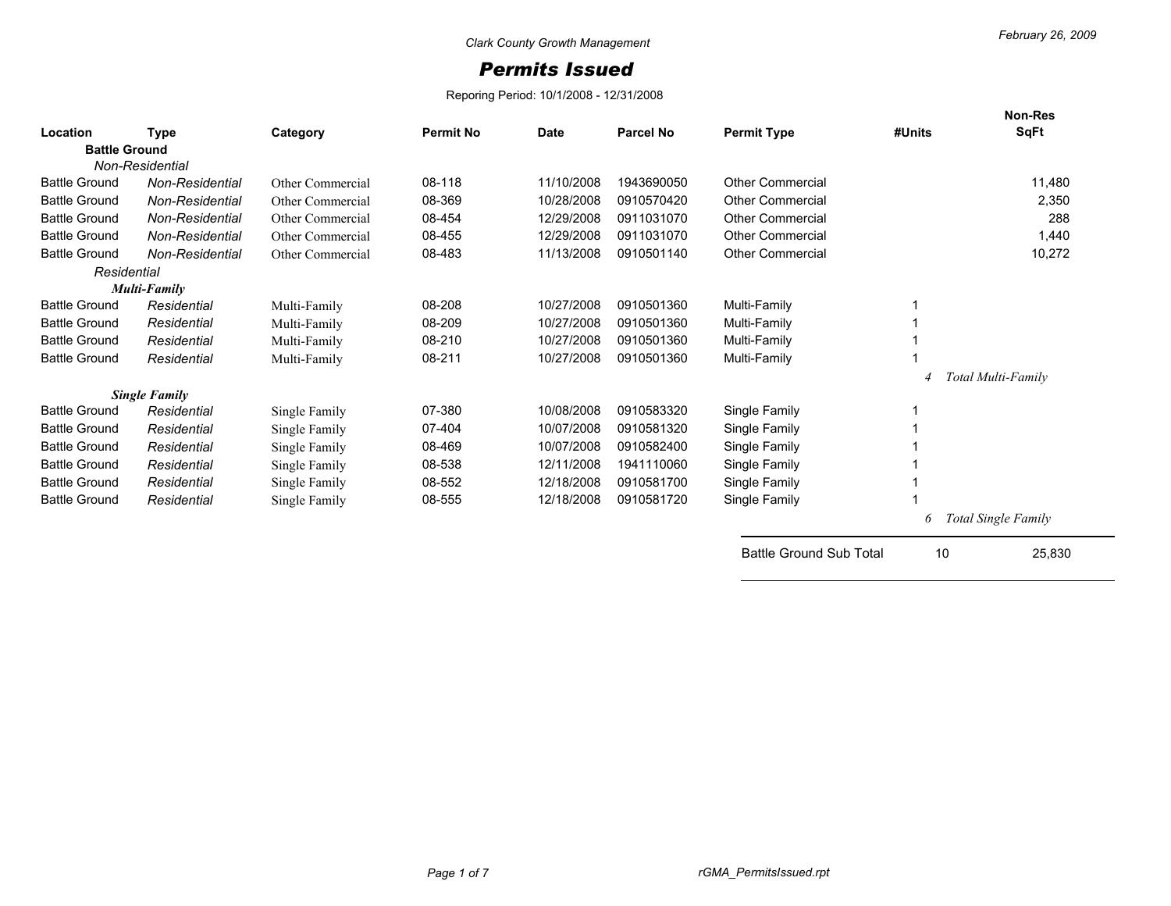## *Permits Issued*

Reporing Period: 10/1/2008 - 12/31/2008

| Location             | <b>Type</b>          | Category         | <b>Permit No</b> | <b>Date</b> | Parcel No  | <b>Permit Type</b>             | #Units | <b>Non-Res</b><br><b>SqFt</b> |
|----------------------|----------------------|------------------|------------------|-------------|------------|--------------------------------|--------|-------------------------------|
| <b>Battle Ground</b> |                      |                  |                  |             |            |                                |        |                               |
|                      | Non-Residential      |                  |                  |             |            |                                |        |                               |
| <b>Battle Ground</b> | Non-Residential      | Other Commercial | 08-118           | 11/10/2008  | 1943690050 | <b>Other Commercial</b>        |        | 11,480                        |
| <b>Battle Ground</b> | Non-Residential      | Other Commercial | 08-369           | 10/28/2008  | 0910570420 | <b>Other Commercial</b>        |        | 2,350                         |
| <b>Battle Ground</b> | Non-Residential      | Other Commercial | 08-454           | 12/29/2008  | 0911031070 | <b>Other Commercial</b>        |        | 288                           |
| <b>Battle Ground</b> | Non-Residential      | Other Commercial | 08-455           | 12/29/2008  | 0911031070 | <b>Other Commercial</b>        |        | 1,440                         |
| <b>Battle Ground</b> | Non-Residential      | Other Commercial | 08-483           | 11/13/2008  | 0910501140 | <b>Other Commercial</b>        |        | 10,272                        |
| Residential          |                      |                  |                  |             |            |                                |        |                               |
|                      | Multi-Family         |                  |                  |             |            |                                |        |                               |
| <b>Battle Ground</b> | Residential          | Multi-Family     | 08-208           | 10/27/2008  | 0910501360 | Multi-Family                   |        |                               |
| <b>Battle Ground</b> | Residential          | Multi-Family     | 08-209           | 10/27/2008  | 0910501360 | Multi-Family                   |        |                               |
| <b>Battle Ground</b> | Residential          | Multi-Family     | 08-210           | 10/27/2008  | 0910501360 | Multi-Family                   |        |                               |
| <b>Battle Ground</b> | Residential          | Multi-Family     | 08-211           | 10/27/2008  | 0910501360 | Multi-Family                   |        |                               |
|                      |                      |                  |                  |             |            |                                |        | Total Multi-Familv            |
|                      | <b>Single Family</b> |                  |                  |             |            |                                |        |                               |
| <b>Battle Ground</b> | Residential          | Single Family    | 07-380           | 10/08/2008  | 0910583320 | Single Family                  |        |                               |
| <b>Battle Ground</b> | Residential          | Single Family    | 07-404           | 10/07/2008  | 0910581320 | Single Family                  |        |                               |
| <b>Battle Ground</b> | Residential          | Single Family    | 08-469           | 10/07/2008  | 0910582400 | Single Family                  |        |                               |
| <b>Battle Ground</b> | Residential          | Single Family    | 08-538           | 12/11/2008  | 1941110060 | Single Family                  |        |                               |
| <b>Battle Ground</b> | Residential          | Single Family    | 08-552           | 12/18/2008  | 0910581700 | Single Family                  |        |                               |
| <b>Battle Ground</b> | Residential          | Single Family    | 08-555           | 12/18/2008  | 0910581720 | Single Family                  |        |                               |
|                      |                      |                  |                  |             |            |                                | 6      | Total Single Family           |
|                      |                      |                  |                  |             |            | <b>Battle Ground Sub Total</b> | 10     | 25,830                        |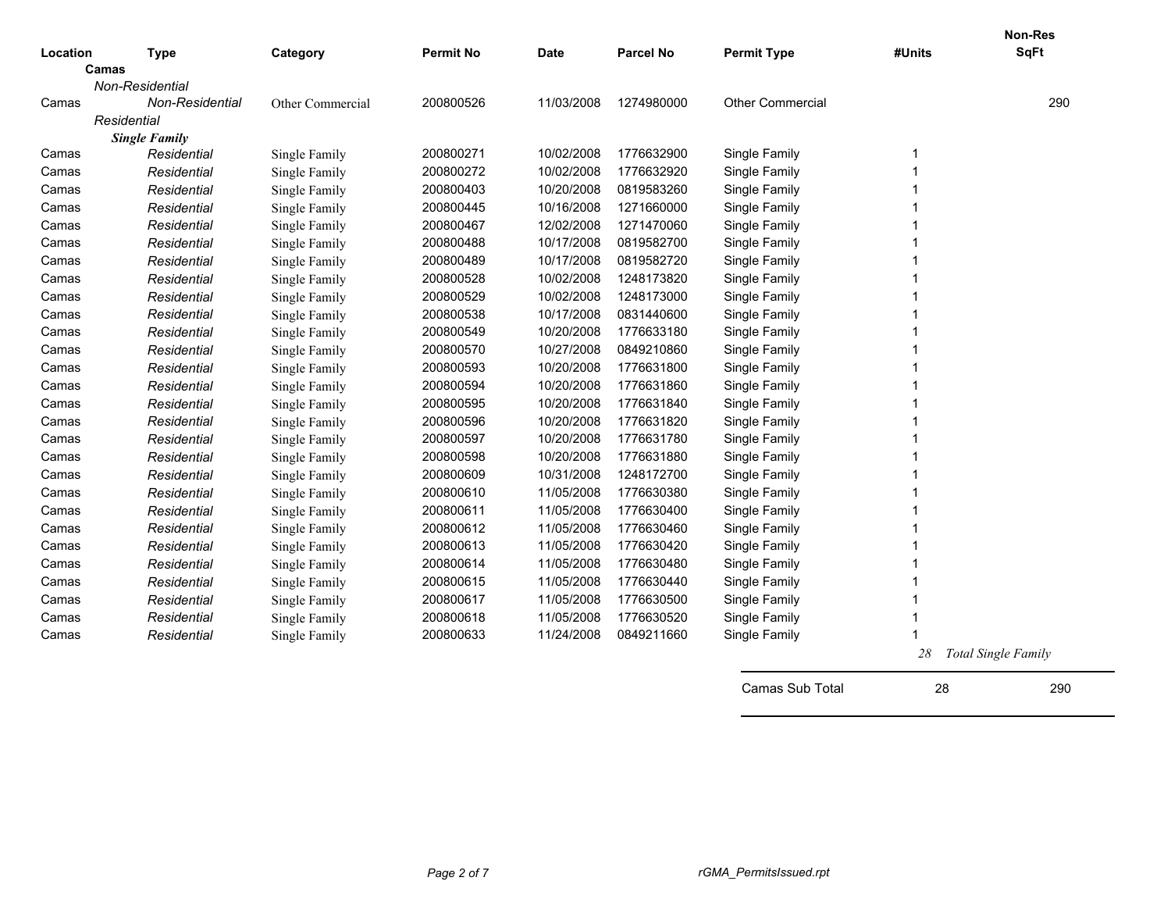|          |                        |                  |                  |             |                  |                         |        | Non-Res                    |
|----------|------------------------|------------------|------------------|-------------|------------------|-------------------------|--------|----------------------------|
| Location | <b>Type</b><br>Camas   | Category         | <b>Permit No</b> | <b>Date</b> | <b>Parcel No</b> | <b>Permit Type</b>      | #Units | <b>SqFt</b>                |
|          | Non-Residential        |                  |                  |             |                  |                         |        |                            |
| Camas    | <b>Non-Residential</b> | Other Commercial | 200800526        | 11/03/2008  | 1274980000       | <b>Other Commercial</b> |        | 290                        |
|          | Residential            |                  |                  |             |                  |                         |        |                            |
|          | <b>Single Family</b>   |                  |                  |             |                  |                         |        |                            |
| Camas    | Residential            | Single Family    | 200800271        | 10/02/2008  | 1776632900       | Single Family           | 1      |                            |
| Camas    | Residential            | Single Family    | 200800272        | 10/02/2008  | 1776632920       | Single Family           | 1      |                            |
| Camas    | Residential            | Single Family    | 200800403        | 10/20/2008  | 0819583260       | Single Family           |        |                            |
| Camas    | Residential            | Single Family    | 200800445        | 10/16/2008  | 1271660000       | Single Family           |        |                            |
| Camas    | Residential            | Single Family    | 200800467        | 12/02/2008  | 1271470060       | Single Family           |        |                            |
| Camas    | Residential            | Single Family    | 200800488        | 10/17/2008  | 0819582700       | Single Family           |        |                            |
| Camas    | Residential            | Single Family    | 200800489        | 10/17/2008  | 0819582720       | Single Family           |        |                            |
| Camas    | Residential            | Single Family    | 200800528        | 10/02/2008  | 1248173820       | Single Family           | 1      |                            |
| Camas    | Residential            | Single Family    | 200800529        | 10/02/2008  | 1248173000       | Single Family           | 1      |                            |
| Camas    | Residential            | Single Family    | 200800538        | 10/17/2008  | 0831440600       | Single Family           | 1      |                            |
| Camas    | Residential            | Single Family    | 200800549        | 10/20/2008  | 1776633180       | Single Family           | 1      |                            |
| Camas    | Residential            | Single Family    | 200800570        | 10/27/2008  | 0849210860       | Single Family           | 1      |                            |
| Camas    | Residential            | Single Family    | 200800593        | 10/20/2008  | 1776631800       | Single Family           | 1      |                            |
| Camas    | Residential            | Single Family    | 200800594        | 10/20/2008  | 1776631860       | Single Family           | 1      |                            |
| Camas    | Residential            | Single Family    | 200800595        | 10/20/2008  | 1776631840       | Single Family           |        |                            |
| Camas    | Residential            | Single Family    | 200800596        | 10/20/2008  | 1776631820       | Single Family           |        |                            |
| Camas    | Residential            | Single Family    | 200800597        | 10/20/2008  | 1776631780       | Single Family           |        |                            |
| Camas    | Residential            | Single Family    | 200800598        | 10/20/2008  | 1776631880       | Single Family           |        |                            |
| Camas    | Residential            | Single Family    | 200800609        | 10/31/2008  | 1248172700       | Single Family           |        |                            |
| Camas    | Residential            | Single Family    | 200800610        | 11/05/2008  | 1776630380       | Single Family           |        |                            |
| Camas    | Residential            | Single Family    | 200800611        | 11/05/2008  | 1776630400       | Single Family           |        |                            |
| Camas    | Residential            | Single Family    | 200800612        | 11/05/2008  | 1776630460       | Single Family           | 1      |                            |
| Camas    | Residential            | Single Family    | 200800613        | 11/05/2008  | 1776630420       | Single Family           | 1      |                            |
| Camas    | Residential            | Single Family    | 200800614        | 11/05/2008  | 1776630480       | Single Family           | 1      |                            |
| Camas    | Residential            | Single Family    | 200800615        | 11/05/2008  | 1776630440       | Single Family           |        |                            |
| Camas    | Residential            | Single Family    | 200800617        | 11/05/2008  | 1776630500       | Single Family           |        |                            |
| Camas    | Residential            | Single Family    | 200800618        | 11/05/2008  | 1776630520       | Single Family           |        |                            |
| Camas    | Residential            | Single Family    | 200800633        | 11/24/2008  | 0849211660       | Single Family           |        |                            |
|          |                        |                  |                  |             |                  |                         | 28     | <b>Total Single Family</b> |

Camas Sub Total 28 290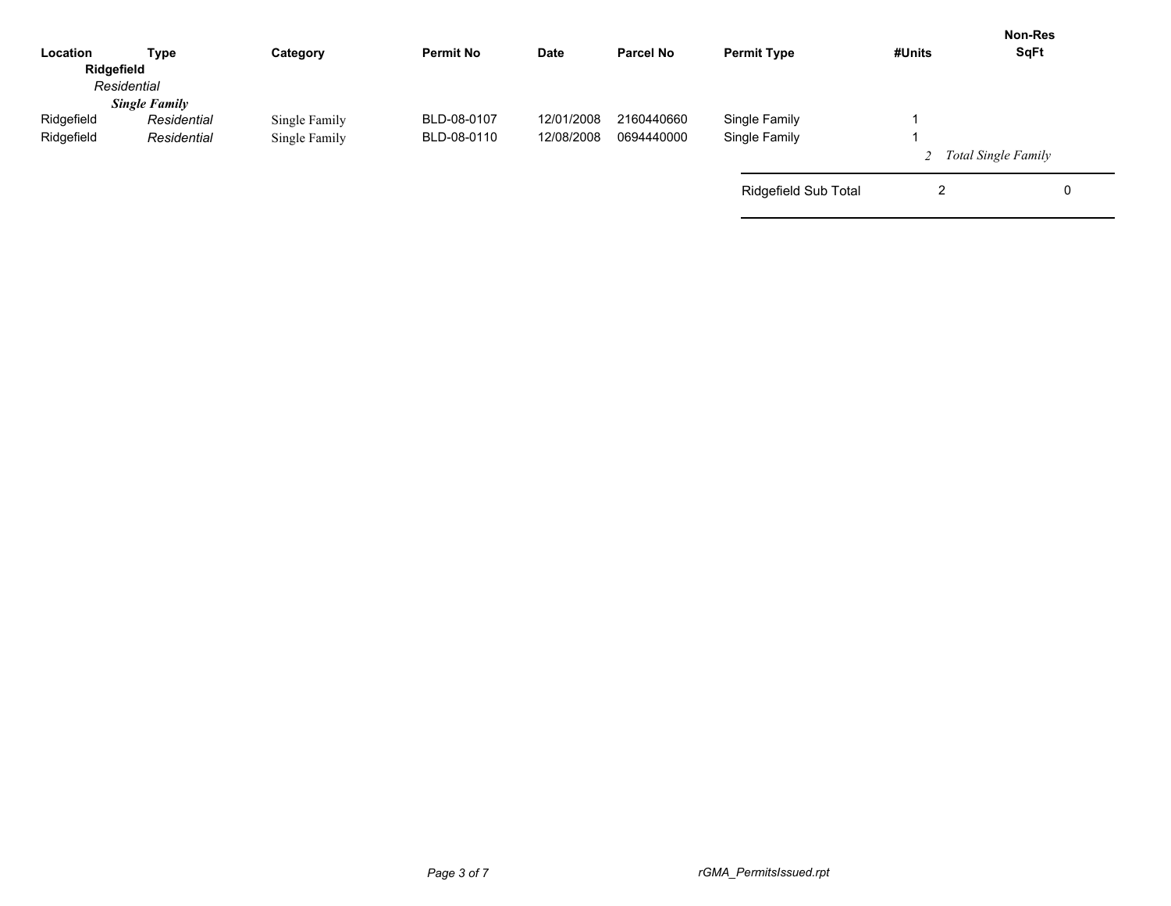| Category      | <b>Permit No</b> | <b>Date</b> | <b>Parcel No</b> | <b>Permit Type</b>   | #Units        | <b>Non-Res</b><br><b>SqFt</b> |
|---------------|------------------|-------------|------------------|----------------------|---------------|-------------------------------|
|               |                  |             |                  |                      |               |                               |
|               |                  |             |                  |                      |               |                               |
|               | BLD-08-0107      | 12/01/2008  | 2160440660       |                      |               |                               |
| Single Family | BLD-08-0110      | 12/08/2008  | 0694440000       | Single Family        |               |                               |
|               |                  |             |                  |                      |               | 2 Total Single Family         |
|               |                  |             |                  | Ridgefield Sub Total | ⌒<br>▵        | 0                             |
|               | Single Family    |             |                  |                      | Single Family |                               |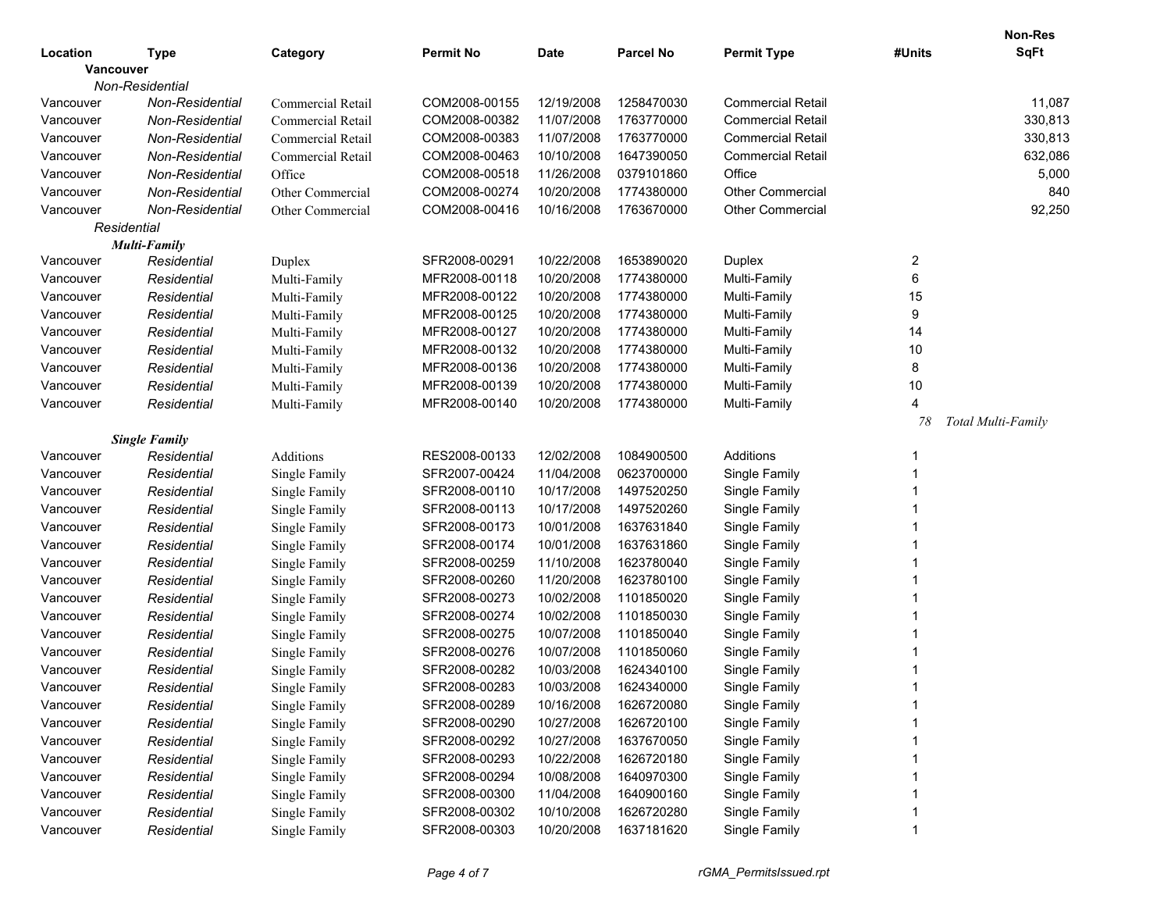|           |                      |                   |                  |            |            |                          |                  | <b>Non-Res</b>     |
|-----------|----------------------|-------------------|------------------|------------|------------|--------------------------|------------------|--------------------|
| Location  | <b>Type</b>          | Category          | <b>Permit No</b> | Date       | Parcel No  | <b>Permit Type</b>       | #Units           | <b>SqFt</b>        |
| Vancouver |                      |                   |                  |            |            |                          |                  |                    |
|           | Non-Residential      |                   |                  |            |            |                          |                  |                    |
| Vancouver | Non-Residential      | Commercial Retail | COM2008-00155    | 12/19/2008 | 1258470030 | <b>Commercial Retail</b> |                  | 11,087             |
| Vancouver | Non-Residential      | Commercial Retail | COM2008-00382    | 11/07/2008 | 1763770000 | <b>Commercial Retail</b> |                  | 330,813            |
| Vancouver | Non-Residential      | Commercial Retail | COM2008-00383    | 11/07/2008 | 1763770000 | <b>Commercial Retail</b> |                  | 330,813            |
| Vancouver | Non-Residential      | Commercial Retail | COM2008-00463    | 10/10/2008 | 1647390050 | <b>Commercial Retail</b> |                  | 632,086            |
| Vancouver | Non-Residential      | Office            | COM2008-00518    | 11/26/2008 | 0379101860 | Office                   |                  | 5,000              |
| Vancouver | Non-Residential      | Other Commercial  | COM2008-00274    | 10/20/2008 | 1774380000 | <b>Other Commercial</b>  |                  | 840                |
| Vancouver | Non-Residential      | Other Commercial  | COM2008-00416    | 10/16/2008 | 1763670000 | Other Commercial         |                  | 92,250             |
|           | Residential          |                   |                  |            |            |                          |                  |                    |
|           | <b>Multi-Family</b>  |                   |                  |            |            |                          |                  |                    |
| Vancouver | Residential          | Duplex            | SFR2008-00291    | 10/22/2008 | 1653890020 | Duplex                   | $\overline{c}$   |                    |
| Vancouver | Residential          | Multi-Family      | MFR2008-00118    | 10/20/2008 | 1774380000 | Multi-Family             | 6                |                    |
| Vancouver | Residential          | Multi-Family      | MFR2008-00122    | 10/20/2008 | 1774380000 | Multi-Family             | 15               |                    |
| Vancouver | Residential          | Multi-Family      | MFR2008-00125    | 10/20/2008 | 1774380000 | Multi-Family             | $\boldsymbol{9}$ |                    |
| Vancouver | Residential          | Multi-Family      | MFR2008-00127    | 10/20/2008 | 1774380000 | Multi-Family             | 14               |                    |
| Vancouver | Residential          | Multi-Family      | MFR2008-00132    | 10/20/2008 | 1774380000 | Multi-Family             | 10               |                    |
| Vancouver | Residential          | Multi-Family      | MFR2008-00136    | 10/20/2008 | 1774380000 | Multi-Family             | 8                |                    |
| Vancouver | Residential          | Multi-Family      | MFR2008-00139    | 10/20/2008 | 1774380000 | Multi-Family             | 10               |                    |
| Vancouver | Residential          | Multi-Family      | MFR2008-00140    | 10/20/2008 | 1774380000 | Multi-Family             | $\overline{4}$   |                    |
|           |                      |                   |                  |            |            |                          | 78               | Total Multi-Family |
|           | <b>Single Family</b> |                   |                  |            |            |                          |                  |                    |
| Vancouver | Residential          | Additions         | RES2008-00133    | 12/02/2008 | 1084900500 | Additions                |                  |                    |
| Vancouver | Residential          | Single Family     | SFR2007-00424    | 11/04/2008 | 0623700000 | Single Family            |                  |                    |
| Vancouver | Residential          | Single Family     | SFR2008-00110    | 10/17/2008 | 1497520250 | Single Family            |                  |                    |
| Vancouver | Residential          | Single Family     | SFR2008-00113    | 10/17/2008 | 1497520260 | Single Family            |                  |                    |
| Vancouver | Residential          | Single Family     | SFR2008-00173    | 10/01/2008 | 1637631840 | Single Family            |                  |                    |
| Vancouver | Residential          | Single Family     | SFR2008-00174    | 10/01/2008 | 1637631860 | Single Family            |                  |                    |
| Vancouver | Residential          | Single Family     | SFR2008-00259    | 11/10/2008 | 1623780040 | Single Family            |                  |                    |
| Vancouver | Residential          | Single Family     | SFR2008-00260    | 11/20/2008 | 1623780100 | Single Family            |                  |                    |
| Vancouver | Residential          | Single Family     | SFR2008-00273    | 10/02/2008 | 1101850020 | Single Family            |                  |                    |
| Vancouver | Residential          | Single Family     | SFR2008-00274    | 10/02/2008 | 1101850030 | Single Family            |                  |                    |
| Vancouver | Residential          | Single Family     | SFR2008-00275    | 10/07/2008 | 1101850040 | Single Family            |                  |                    |
| Vancouver | Residential          | Single Family     | SFR2008-00276    | 10/07/2008 | 1101850060 | Single Family            |                  |                    |
| Vancouver | Residential          | Single Family     | SFR2008-00282    | 10/03/2008 | 1624340100 | Single Family            |                  |                    |
| Vancouver | Residential          | Single Family     | SFR2008-00283    | 10/03/2008 | 1624340000 | Single Family            |                  |                    |
| Vancouver | Residential          | Single Family     | SFR2008-00289    | 10/16/2008 | 1626720080 | Single Family            |                  |                    |
| Vancouver | Residential          | Single Family     | SFR2008-00290    | 10/27/2008 | 1626720100 | Single Family            |                  |                    |
| Vancouver | Residential          | Single Family     | SFR2008-00292    | 10/27/2008 | 1637670050 | Single Family            |                  |                    |
| Vancouver | Residential          | Single Family     | SFR2008-00293    | 10/22/2008 | 1626720180 | Single Family            |                  |                    |
| Vancouver | Residential          | Single Family     | SFR2008-00294    | 10/08/2008 | 1640970300 | Single Family            |                  |                    |
| Vancouver | Residential          | Single Family     | SFR2008-00300    | 11/04/2008 | 1640900160 | Single Family            |                  |                    |
| Vancouver | Residential          | Single Family     | SFR2008-00302    | 10/10/2008 | 1626720280 | Single Family            |                  |                    |
| Vancouver | Residential          | Single Family     | SFR2008-00303    | 10/20/2008 | 1637181620 | Single Family            |                  |                    |
|           |                      |                   |                  |            |            |                          |                  |                    |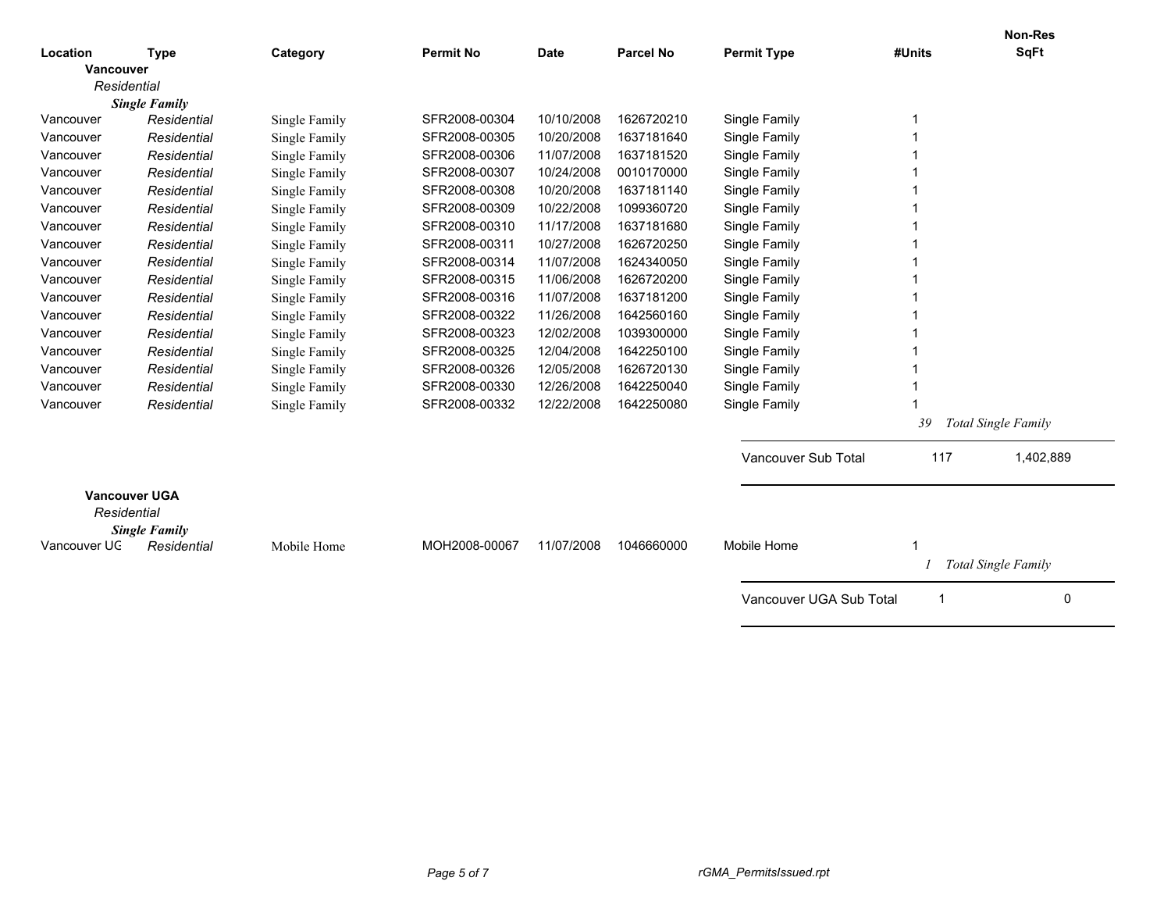|                                                             |                      |               |                  |             |            |                         |                            | <b>Non-Res</b>             |
|-------------------------------------------------------------|----------------------|---------------|------------------|-------------|------------|-------------------------|----------------------------|----------------------------|
| Location                                                    | <b>Type</b>          | Category      | <b>Permit No</b> | <b>Date</b> | Parcel No  | <b>Permit Type</b>      | #Units                     | <b>SqFt</b>                |
| <b>Vancouver</b><br>Residential                             |                      |               |                  |             |            |                         |                            |                            |
|                                                             | <b>Single Family</b> |               |                  |             |            |                         |                            |                            |
| Vancouver                                                   | Residential          | Single Family | SFR2008-00304    | 10/10/2008  | 1626720210 | Single Family           |                            |                            |
| Vancouver                                                   | Residential          | Single Family | SFR2008-00305    | 10/20/2008  | 1637181640 | Single Family           |                            |                            |
| Vancouver                                                   | Residential          | Single Family | SFR2008-00306    | 11/07/2008  | 1637181520 | Single Family           |                            |                            |
| Vancouver                                                   | Residential          | Single Family | SFR2008-00307    | 10/24/2008  | 0010170000 | Single Family           |                            |                            |
| Vancouver                                                   | Residential          | Single Family | SFR2008-00308    | 10/20/2008  | 1637181140 | Single Family           |                            |                            |
| Vancouver                                                   | Residential          | Single Family | SFR2008-00309    | 10/22/2008  | 1099360720 | Single Family           |                            |                            |
| Vancouver                                                   | Residential          | Single Family | SFR2008-00310    | 11/17/2008  | 1637181680 | Single Family           |                            |                            |
| Vancouver                                                   | Residential          | Single Family | SFR2008-00311    | 10/27/2008  | 1626720250 | Single Family           |                            |                            |
| Vancouver                                                   | Residential          | Single Family | SFR2008-00314    | 11/07/2008  | 1624340050 | Single Family           |                            |                            |
| Vancouver                                                   | Residential          | Single Family | SFR2008-00315    | 11/06/2008  | 1626720200 | Single Family           |                            |                            |
| Vancouver                                                   | Residential          | Single Family | SFR2008-00316    | 11/07/2008  | 1637181200 | Single Family           |                            |                            |
| Vancouver                                                   | Residential          | Single Family | SFR2008-00322    | 11/26/2008  | 1642560160 | Single Family           |                            |                            |
| Vancouver                                                   | Residential          | Single Family | SFR2008-00323    | 12/02/2008  | 1039300000 | Single Family           |                            |                            |
| Vancouver                                                   | Residential          |               | SFR2008-00325    | 12/04/2008  | 1642250100 | Single Family           |                            |                            |
| Vancouver                                                   | Residential          | Single Family | SFR2008-00326    | 12/05/2008  | 1626720130 | Single Family           |                            |                            |
| Vancouver                                                   | Residential          | Single Family | SFR2008-00330    | 12/26/2008  | 1642250040 | Single Family           |                            |                            |
| Vancouver                                                   | Residential          | Single Family | SFR2008-00332    | 12/22/2008  | 1642250080 | Single Family           |                            |                            |
|                                                             |                      | Single Family |                  |             |            |                         |                            |                            |
|                                                             |                      |               |                  |             |            |                         | 39                         | <b>Total Single Family</b> |
|                                                             |                      |               |                  |             |            | Vancouver Sub Total     | 117                        | 1,402,889                  |
| <b>Vancouver UGA</b><br>Residential<br><b>Single Family</b> |                      |               |                  |             |            |                         |                            |                            |
| Vancouver UC                                                | Residential          | Mobile Home   | MOH2008-00067    | 11/07/2008  | 1046660000 | Mobile Home             |                            |                            |
|                                                             |                      |               |                  |             |            |                         | <b>Total Single Family</b> |                            |
|                                                             |                      |               |                  |             |            | Vancouver UGA Sub Total |                            | 0                          |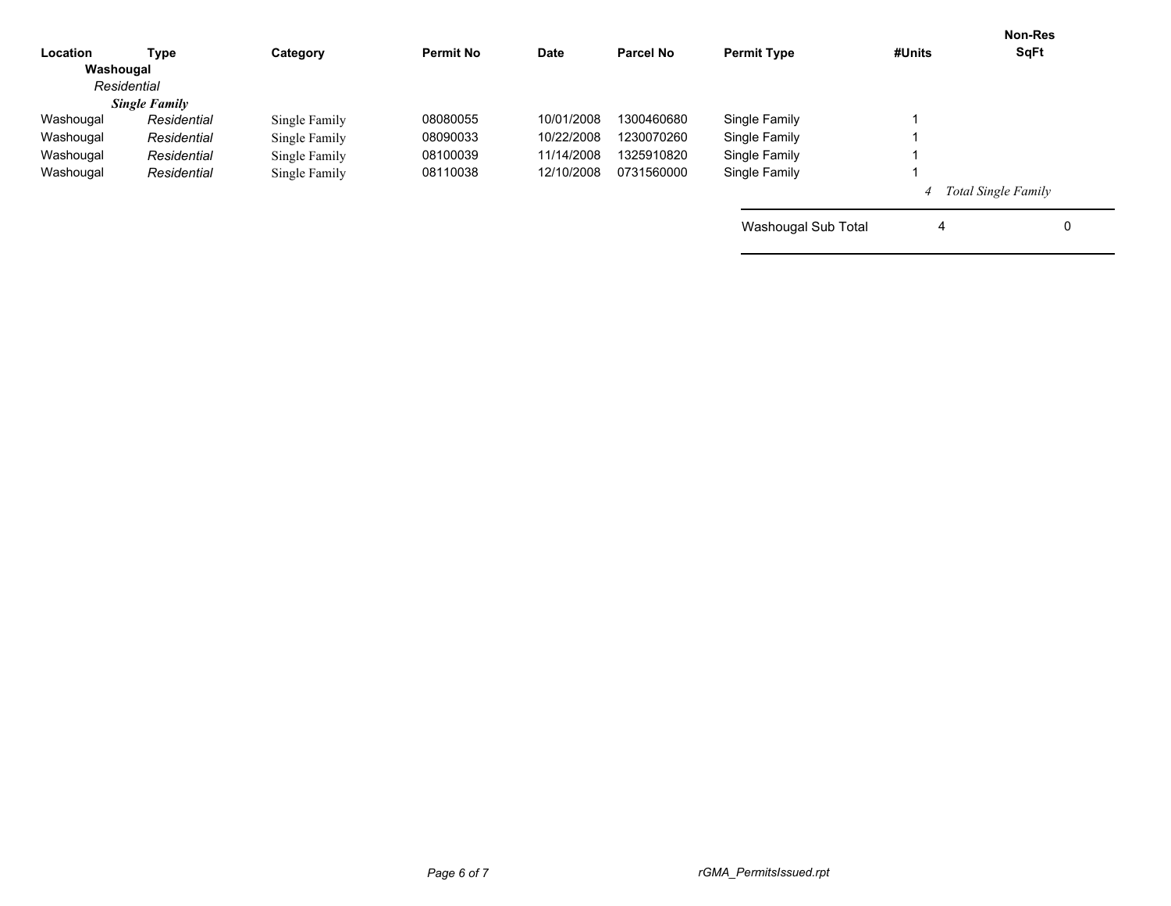| Location  | <b>Type</b>          | Category      | <b>Permit No</b> | Date       | <b>Parcel No</b> | <b>Permit Type</b>  | #Units                | <b>Non-Res</b><br><b>SqFt</b> |
|-----------|----------------------|---------------|------------------|------------|------------------|---------------------|-----------------------|-------------------------------|
| Washougal |                      |               |                  |            |                  |                     |                       |                               |
|           | Residential          |               |                  |            |                  |                     |                       |                               |
|           | <b>Single Family</b> |               |                  |            |                  |                     |                       |                               |
| Washougal | Residential          | Single Family | 08080055         | 10/01/2008 | 1300460680       | Single Family       |                       |                               |
| Washougal | Residential          | Single Family | 08090033         | 10/22/2008 | 1230070260       | Single Family       |                       |                               |
| Washougal | Residential          | Single Family | 08100039         | 11/14/2008 | 1325910820       | Single Family       |                       |                               |
| Washougal | Residential          | Single Family | 08110038         | 12/10/2008 | 0731560000       | Single Family       |                       |                               |
|           |                      |               |                  |            |                  |                     | 4 Total Single Family |                               |
|           |                      |               |                  |            |                  | Washougal Sub Total | 4                     |                               |